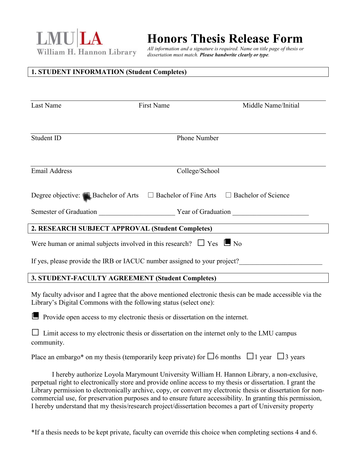LMU LA William H. Hannon Library

# **Honors Thesis Release Form**

*All information and a signature is required. Name on title page of thesis or dissertation must match. Please handwrite clearly or type.*

### **1. STUDENT INFORMATION (Student Completes)**

| Round                                                                                                                                                                                                                                                                                                                     | Olivia            | M              |                     |  |
|---------------------------------------------------------------------------------------------------------------------------------------------------------------------------------------------------------------------------------------------------------------------------------------------------------------------------|-------------------|----------------|---------------------|--|
| Last Name                                                                                                                                                                                                                                                                                                                 | <b>First Name</b> |                | Middle Name/Initial |  |
| 924828008                                                                                                                                                                                                                                                                                                                 |                   | 6153398107     |                     |  |
| Student ID                                                                                                                                                                                                                                                                                                                |                   | Phone Number   |                     |  |
| roundolivia@gmail.com                                                                                                                                                                                                                                                                                                     |                   | <b>BCLA</b>    |                     |  |
| <b>Email Address</b>                                                                                                                                                                                                                                                                                                      |                   | College/School |                     |  |
| Degree objective: Bachelor of Arts $\Box$ Bachelor of Fine Arts<br>$\Box$ Bachelor of Science<br>Semester of Graduation Spring<br>Year of Graduation 2019                                                                                                                                                                 |                   |                |                     |  |
| 2. RESEARCH SUBJECT APPROVAL (Student Completes)                                                                                                                                                                                                                                                                          |                   |                |                     |  |
| Were human or animal subjects involved in this research? $\Box$ Yes $\Box$ No                                                                                                                                                                                                                                             |                   |                |                     |  |
| If yes, please provide the IRB or IACUC number assigned to your project?                                                                                                                                                                                                                                                  |                   |                |                     |  |
| 3. STUDENT-FACULTY AGREEMENT (Student Completes)                                                                                                                                                                                                                                                                          |                   |                |                     |  |
| My faculty advisor and I agree that the above mentioned electronic thesis can be made accessible via the<br>Library's Digital Commons with the following status (select one):                                                                                                                                             |                   |                |                     |  |
| Provide open access to my electronic thesis or dissertation on the internet.                                                                                                                                                                                                                                              |                   |                |                     |  |
| Limit access to my electronic thesis or dissertation on the internet only to the LMU campus<br>community.                                                                                                                                                                                                                 |                   |                |                     |  |
| Place an embargo* on my thesis (temporarily keep private) for $\square$ 6 months $\square$ 1 year $\square$ 3 years                                                                                                                                                                                                       |                   |                |                     |  |
| I hereby authorize Loyola Marymount University William H. Hannon Library, a non-exclusive,<br>perpetual right to electronically store and provide online access to my thesis or dissertation. I grant the<br>Library permission to electronically archive, copy, or convert my electronic thesis or dissertation for non- |                   |                |                     |  |

I hereby understand that my thesis/research project/dissertation becomes a part of University property

commercial use, for preservation purposes and to ensure future accessibility. In granting this permission,

\*If a thesis needs to be kept private, faculty can override this choice when completing sections 4 and 6.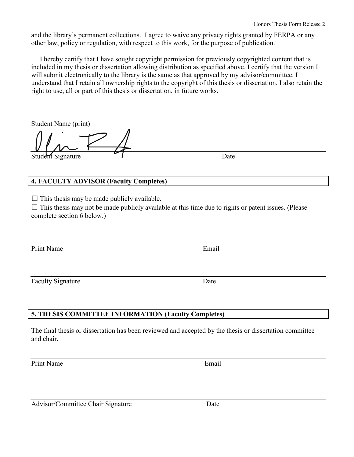and the library's permanent collections. I agree to waive any privacy rights granted by FERPA or any other law, policy or regulation, with respect to this work, for the purpose of publication.

 I hereby certify that I have sought copyright permission for previously copyrighted content that is included in my thesis or dissertation allowing distribution as specified above. I certify that the version I will submit electronically to the library is the same as that approved by my advisor/committee. I understand that I retain all ownership rights to the copyright of this thesis or dissertation. I also retain the right to use, all or part of this thesis or dissertation, in future works.

#### Olivia Round

| Student Name (print)                                                           |                                                                                                     |
|--------------------------------------------------------------------------------|-----------------------------------------------------------------------------------------------------|
|                                                                                | 5/14/19                                                                                             |
| Student Signature                                                              | Date                                                                                                |
| <b>4. FACULTY ADVISOR (Faculty Completes)</b>                                  |                                                                                                     |
| This thesis may be made publicly available.<br>Ш<br>complete section 6 below.) | This thesis may not be made publicly available at this time due to rights or patent issues. (Please |
| Jodi Finkel                                                                    | Jodi.finkel@lmu.edu                                                                                 |
| Print Name                                                                     | Email                                                                                               |
|                                                                                | 5/14/19                                                                                             |
| <b>Faculty Signature</b>                                                       | Date                                                                                                |

#### **5. THESIS COMMITTEE INFORMATION (Faculty Completes)**

The final thesis or dissertation has been reviewed and accepted by the thesis or dissertation committee and chair.

Print Name Email

Advisor/Committee Chair Signature Date